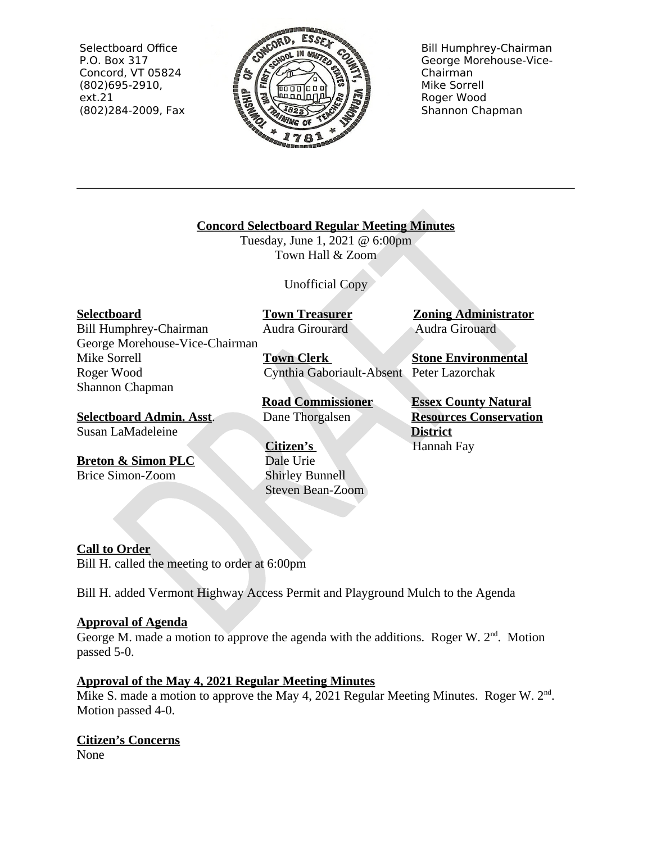Selectboard Office P.O. Box 317 Concord, VT 05824  $(802)695-2910,$  $ext.21$ (802)284-2009, Fax



**Bill Humphrey-Chairman** George Morehouse-Vice-Chairman Mike Sorrell Roger Wood Shannon Chapman

# **Concord Selectboard Regular Meeting Minutes**

Tuesday, June 1, 2021 @ 6:00pm Town Hall & Zoom

Unofficial Copy

**Selectboard** 

**Bill Humphrey-Chairman** George Morehouse-Vice-Chairman Mike Sorrell Roger Wood Shannon Chapman

**Selectboard Admin. Asst.** Susan LaMadeleine

**Breton & Simon PLC Brice Simon-Zoom** 

**Town Treasurer** Audra Girourard

**Town Clerk** Cynthia Gaboriault-Absent Peter Lazorchak

**Road Commissioner** Dane Thorgalsen

Citizen's Dale Urie **Shirley Bunnell** Steven Bean-Zoom **Zoning Administrator** Audra Girouard

**Stone Environmental** 

**Essex County Natural Resources Conservation District** Hannah Fay

**Call to Order** 

Bill H, called the meeting to order at 6:00pm

Bill H. added Vermont Highway Access Permit and Playground Mulch to the Agenda

# **Approval of Agenda**

George M. made a motion to approve the agenda with the additions. Roger W.  $2<sup>nd</sup>$ . Motion passed 5-0.

# **Approval of the May 4, 2021 Regular Meeting Minutes**

Mike S. made a motion to approve the May 4, 2021 Regular Meeting Minutes. Roger W. 2<sup>nd</sup>. Motion passed 4-0.

# **Citizen's Concerns**

None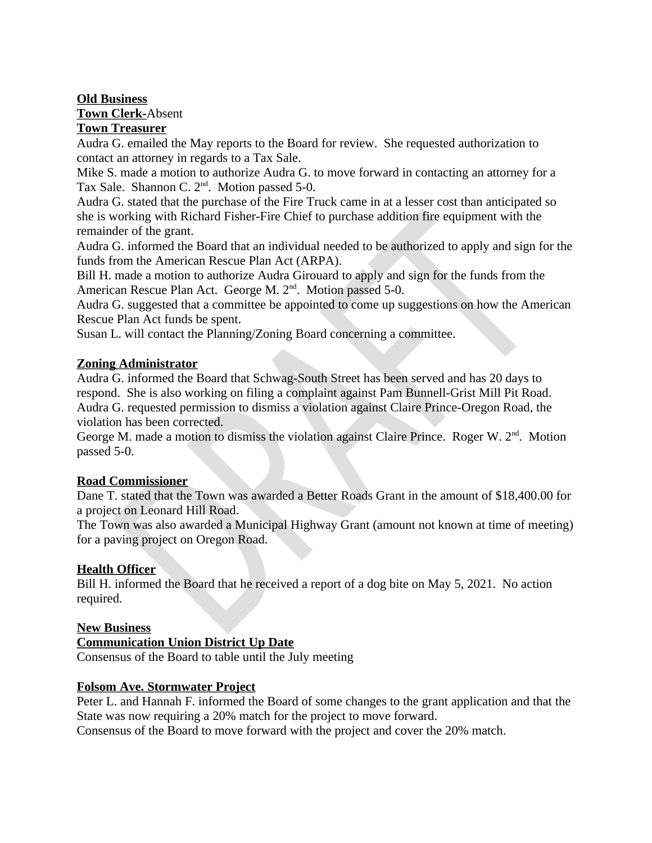## **Old Business**

**Town Clerk-Absent** 

# **Town Treasurer**

Audra G. emailed the May reports to the Board for review. She requested authorization to contact an attorney in regards to a Tax Sale.

Mike S, made a motion to authorize Audra G, to move forward in contacting an attorney for a Tax Sale. Shannon C. 2<sup>nd</sup>. Motion passed 5-0.

Audra G. stated that the purchase of the Fire Truck came in at a lesser cost than anticipated so she is working with Richard Fisher-Fire Chief to purchase addition fire equipment with the remainder of the grant.

Audra G. informed the Board that an individual needed to be authorized to apply and sign for the funds from the American Rescue Plan Act (ARPA).

Bill H, made a motion to authorize Audra Girouard to apply and sign for the funds from the American Rescue Plan Act. George M. 2<sup>nd</sup>. Motion passed 5-0.

Audra G. suggested that a committee be appointed to come up suggestions on how the American Rescue Plan Act funds be spent.

Susan L. will contact the Planning/Zoning Board concerning a committee.

## **Zoning Administrator**

Audra G. informed the Board that Schwag-South Street has been served and has 20 days to respond. She is also working on filing a complaint against Pam Bunnell-Grist Mill Pit Road. Audra G. requested permission to dismiss a violation against Claire Prince-Oregon Road, the violation has been corrected.

George M. made a motion to dismiss the violation against Claire Prince. Roger W. 2<sup>nd</sup>. Motion passed 5-0.

# **Road Commissioner**

Dane T. stated that the Town was awarded a Better Roads Grant in the amount of \$18,400.00 for a project on Leonard Hill Road.

The Town was also awarded a Municipal Highway Grant (amount not known at time of meeting) for a paving project on Oregon Road.

# **Health Officer**

Bill H. informed the Board that he received a report of a dog bite on May 5, 2021. No action required.

# **New Business**

#### **Communication Union District Up Date**

Consensus of the Board to table until the July meeting

#### **Folsom Ave. Stormwater Project**

Peter L. and Hannah F. informed the Board of some changes to the grant application and that the State was now requiring a 20% match for the project to move forward.

Consensus of the Board to move forward with the project and cover the 20% match.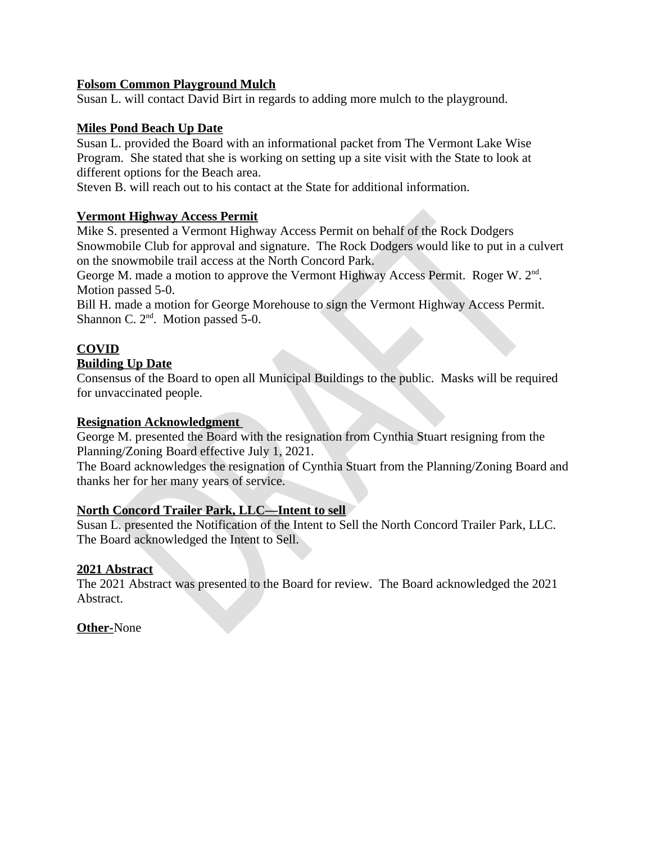## **Folsom Common Playground Mulch**

Susan L. will contact David Birt in regards to adding more mulch to the playground.

## **Miles Pond Beach Up Date**

Susan L. provided the Board with an informational packet from The Vermont Lake Wise Program. She stated that she is working on setting up a site visit with the State to look at different options for the Beach area.

Steven B. will reach out to his contact at the State for additional information.

## **Vermont Highway Access Permit**

Mike S. presented a Vermont Highway Access Permit on behalf of the Rock Dodgers Snowmobile Club for approval and signature. The Rock Dodgers would like to put in a culvert on the snowmobile trail access at the North Concord Park.

George M. made a motion to approve the Vermont Highway Access Permit. Roger W. 2<sup>nd</sup>. Motion passed 5-0.

Bill H. made a motion for George Morehouse to sign the Vermont Highway Access Permit. Shannon C. 2<sup>nd</sup>. Motion passed 5-0.

# **COVID**

#### **Building Up Date**

Consensus of the Board to open all Municipal Buildings to the public. Masks will be required for unvaccinated people.

#### **Resignation Acknowledgment**

George M. presented the Board with the resignation from Cynthia Stuart resigning from the Planning/Zoning Board effective July 1, 2021.

The Board acknowledges the resignation of Cynthia Stuart from the Planning/Zoning Board and thanks her for her many years of service.

#### **North Concord Trailer Park, LLC-Intent to sell**

Susan L. presented the Notification of the Intent to Sell the North Concord Trailer Park, LLC. The Board acknowledged the Intent to Sell.

#### 2021 Abstract

The 2021 Abstract was presented to the Board for review. The Board acknowledged the 2021 Abstract.

**Other-None**